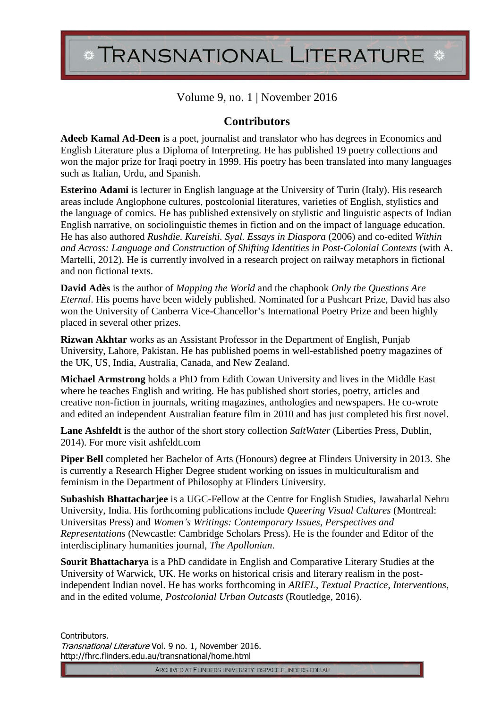## TRANSNATIONAL LITERATURE \*

## Volume 9, no. 1 | November 2016

## **Contributors**

**Adeeb Kamal Ad-Deen** is a poet, journalist and translator who has degrees in Economics and English Literature plus a Diploma of Interpreting. He has published 19 poetry collections and won the major prize for Iraqi poetry in 1999. His poetry has been translated into many languages such as Italian, Urdu, and Spanish.

**Esterino Adami** is lecturer in English language at the University of Turin (Italy). His research areas include Anglophone cultures, postcolonial literatures, varieties of English, stylistics and the language of comics. He has published extensively on stylistic and linguistic aspects of Indian English narrative, on sociolinguistic themes in fiction and on the impact of language education. He has also authored *Rushdie. Kureishi. Syal. Essays in Diaspora* (2006) and co-edited *Within and Across: Language and Construction of Shifting Identities in Post-Colonial Contexts* (with A. Martelli, 2012). He is currently involved in a research project on railway metaphors in fictional and non fictional texts.

**David Adès** is the author of *Mapping the World* and the chapbook *Only the Questions Are Eternal*. His poems have been widely published. Nominated for a Pushcart Prize, David has also won the University of Canberra Vice-Chancellor's International Poetry Prize and been highly placed in several other prizes.

**Rizwan Akhtar** works as an Assistant Professor in the Department of English, Punjab University, Lahore, Pakistan. He has published poems in well-established poetry magazines of the UK, US, India, Australia, Canada, and New Zealand.

**Michael Armstrong** holds a PhD from Edith Cowan University and lives in the Middle East where he teaches English and writing. He has published short stories, poetry, articles and creative non-fiction in journals, writing magazines, anthologies and newspapers. He co-wrote and edited an independent Australian feature film in 2010 and has just completed his first novel.

**Lane Ashfeldt** is the author of the short story collection *SaltWater* (Liberties Press, Dublin, 2014). For more visit ashfeldt.com

**Piper Bell** completed her Bachelor of Arts (Honours) degree at Flinders University in 2013. She is currently a Research Higher Degree student working on issues in multiculturalism and feminism in the Department of Philosophy at Flinders University.

**Subashish Bhattacharjee** is a UGC-Fellow at the Centre for English Studies, Jawaharlal Nehru University, India. His forthcoming publications include *Queering Visual Cultures* (Montreal: Universitas Press) and *Women's Writings: Contemporary Issues, Perspectives and Representations* (Newcastle: Cambridge Scholars Press). He is the founder and Editor of the interdisciplinary humanities journal, *The Apollonian*.

**Sourit Bhattacharya** is a PhD candidate in English and Comparative Literary Studies at the University of Warwick, UK. He works on historical crisis and literary realism in the postindependent Indian novel. He has works forthcoming in *ARIEL*, *Textual Practice*, *Interventions*, and in the edited volume, *Postcolonial Urban Outcasts* (Routledge, 2016).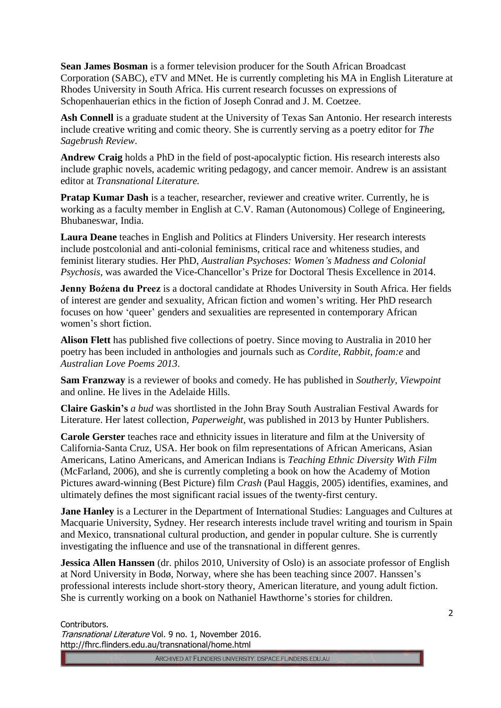**Sean James Bosman** is a former television producer for the South African Broadcast Corporation (SABC), eTV and MNet. He is currently completing his MA in English Literature at Rhodes University in South Africa. His current research focusses on expressions of Schopenhauerian ethics in the fiction of Joseph Conrad and J. M. Coetzee.

**Ash Connell** is a graduate student at the University of Texas San Antonio. Her research interests include creative writing and comic theory. She is currently serving as a poetry editor for *The Sagebrush Review*.

**Andrew Craig** holds a PhD in the field of post-apocalyptic fiction. His research interests also include graphic novels, academic writing pedagogy, and cancer memoir. Andrew is an assistant editor at *Transnational Literature.*

**Pratap Kumar Dash** is a teacher, researcher, reviewer and creative writer. Currently, he is working as a faculty member in English at C.V. Raman (Autonomous) College of Engineering, Bhubaneswar, India.

**Laura Deane** teaches in English and Politics at Flinders University. Her research interests include postcolonial and anti-colonial feminisms, critical race and whiteness studies, and feminist literary studies. Her PhD, *Australian Psychoses: Women's Madness and Colonial Psychosis*, was awarded the Vice-Chancellor's Prize for Doctoral Thesis Excellence in 2014.

**Jenny Boźena du Preez** is a doctoral candidate at Rhodes University in South Africa. Her fields of interest are gender and sexuality, African fiction and women's writing. Her PhD research focuses on how 'queer' genders and sexualities are represented in contemporary African women's short fiction.

**Alison Flett** has published five collections of poetry. Since moving to Australia in 2010 her poetry has been included in anthologies and journals such as *Cordite*, *Rabbit*, *foam:e* and *Australian Love Poems 2013*.

**Sam Franzway** is a reviewer of books and comedy. He has published in *Southerly, Viewpoint*  and online. He lives in the Adelaide Hills.

**Claire Gaskin's** *a bud* was shortlisted in the John Bray South Australian Festival Awards for Literature. Her latest collection, *Paperweight*, was published in 2013 by Hunter Publishers.

**Carole Gerster** teaches race and ethnicity issues in literature and film at the University of California-Santa Cruz, USA. Her book on film representations of African Americans, Asian Americans, Latino Americans, and American Indians is *Teaching Ethnic Diversity With Film*  (McFarland, 2006), and she is currently completing a book on how the Academy of Motion Pictures award-winning (Best Picture) film *Crash* (Paul Haggis, 2005) identifies, examines, and ultimately defines the most significant racial issues of the twenty-first century.

**Jane Hanley** is a Lecturer in the Department of International Studies: Languages and Cultures at Macquarie University, Sydney. Her research interests include travel writing and tourism in Spain and Mexico, transnational cultural production, and gender in popular culture. She is currently investigating the influence and use of the transnational in different genres.

**Jessica Allen Hanssen** (dr. philos 2010, University of Oslo) is an associate professor of English at Nord University in Bodø, Norway, where she has been teaching since 2007. Hanssen's professional interests include short-story theory, American literature, and young adult fiction. She is currently working on a book on Nathaniel Hawthorne's stories for children.

Contributors. Transnational Literature Vol. 9 no. 1, November 2016. http://fhrc.flinders.edu.au/transnational/home.html

ARCHIVED AT FLINDERS UNIVERSITY: DSPACE.FLINDERS.EDU.AU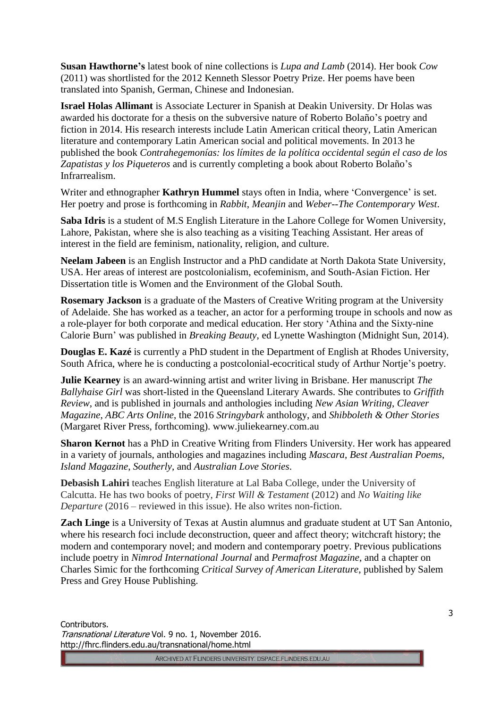**Susan Hawthorne's** latest book of nine collections is *Lupa and Lamb* (2014). Her book *Cow*  (2011) was shortlisted for the 2012 Kenneth Slessor Poetry Prize. Her poems have been translated into Spanish, German, Chinese and Indonesian.

**Israel Holas Allimant** is Associate Lecturer in Spanish at Deakin University. Dr Holas was awarded his doctorate for a thesis on the subversive nature of Roberto Bolaño's poetry and fiction in 2014. His research interests include Latin American critical theory, Latin American literature and contemporary Latin American social and political movements. In 2013 he published the book *Contrahegemonías: los límites de la política occidental según el caso de los Zapatistas y los Piqueteros* and is currently completing a book about Roberto Bolaño's Infrarrealism.

Writer and ethnographer **Kathryn Hummel** stays often in India, where 'Convergence' is set. Her poetry and prose is forthcoming in *Rabbit*, *Meanjin* and *Weber--The Contemporary West*.

**Saba Idris** is a student of M.S English Literature in the Lahore College for Women University, Lahore, Pakistan, where she is also teaching as a visiting Teaching Assistant. Her areas of interest in the field are feminism, nationality, religion, and culture.

**Neelam Jabeen** is an English Instructor and a PhD candidate at North Dakota State University, USA. Her areas of interest are postcolonialism, ecofeminism, and South-Asian Fiction. Her Dissertation title is Women and the Environment of the Global South.

**Rosemary Jackson** is a graduate of the Masters of Creative Writing program at the University of Adelaide. She has worked as a teacher, an actor for a performing troupe in schools and now as a role-player for both corporate and medical education. Her story 'Athina and the Sixty-nine Calorie Burn' was published in *Breaking Beauty*, ed Lynette Washington (Midnight Sun, 2014).

**Douglas E. Kazé** is currently a PhD student in the Department of English at Rhodes University, South Africa, where he is conducting a postcolonial-ecocritical study of Arthur Nortje's poetry.

**Julie Kearney** is an award-winning artist and writer living in Brisbane. Her manuscript *The Ballyhaise Girl* was short-listed in the Queensland Literary Awards. She contributes to *Griffith Review*, and is published in journals and anthologies including *New Asian Writing*, *Cleaver Magazine*, *ABC Arts Online*, the 2016 *Stringybark* anthology, and *Shibboleth & Other Stories* (Margaret River Press, forthcoming). www.juliekearney.com.au

**Sharon Kernot** has a PhD in Creative Writing from Flinders University. Her work has appeared in a variety of journals, anthologies and magazines including *Mascara*, *Best Australian Poems*, *Island Magazine*, *Southerly*, and *Australian Love Stories*.

**Debasish Lahiri** teaches English literature at Lal Baba College, under the University of Calcutta. He has two books of poetry, *First Will & Testament* (2012) and *No Waiting like Departure* (2016 – reviewed in this issue). He also writes non-fiction.

**Zach Linge** is a University of Texas at Austin alumnus and graduate student at UT San Antonio, where his research foci include deconstruction, queer and affect theory; witchcraft history; the modern and contemporary novel; and modern and contemporary poetry. Previous publications include poetry in *Nimrod International Journal* and *Permafrost Magazine*, and a chapter on Charles Simic for the forthcoming *Critical Survey of American Literature*, published by Salem Press and Grey House Publishing.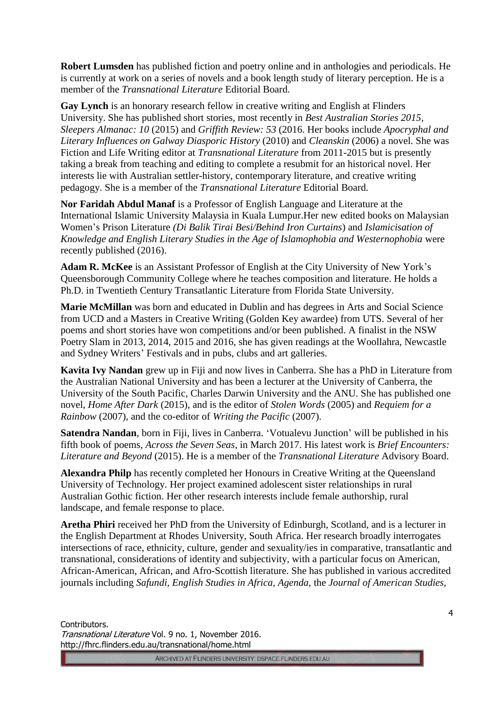**Robert Lumsden** has published fiction and poetry online and in anthologies and periodicals. He is currently at work on a series of novels and a book length study of literary perception. He is a member of the *Transnational Literature* Editorial Board.

**Gay Lynch** is an honorary research fellow in creative writing and English at Flinders University. She has published short stories, most recently in *Best Australian Stories 2015, Sleepers Almanac: 10* (2015) and *Griffith Review: 53* (2016. Her books include *Apocryphal and Literary Influences on Galway Diasporic History* (2010) and *Cleanskin* (2006) a novel. She was Fiction and Life Writing editor at *Transnational Literature* from 2011-2015 but is presently taking a break from teaching and editing to complete a resubmit for an historical novel. Her interests lie with Australian settler-history, contemporary literature, and creative writing pedagogy. She is a member of the *Transnational Literature* Editorial Board.

**Nor Faridah Abdul Manaf** is a Professor of English Language and Literature at the International Islamic University Malaysia in Kuala Lumpur.Her new edited books on Malaysian Women's Prison Literature *(Di Balik Tirai Besi/Behind Iron Curtains*) and *Islamicisation of Knowledge and English Literary Studies in the Age of Islamophobia and Westernophobia* were recently published (2016).

**Adam R. McKee** is an Assistant Professor of English at the City University of New York's Queensborough Community College where he teaches composition and literature. He holds a Ph.D. in Twentieth Century Transatlantic Literature from Florida State University.

**Marie McMillan** was born and educated in Dublin and has degrees in Arts and Social Science from UCD and a Masters in Creative Writing (Golden Key awardee) from UTS. Several of her poems and short stories have won competitions and/or been published. A finalist in the NSW Poetry Slam in 2013, 2014, 2015 and 2016, she has given readings at the Woollahra, Newcastle and Sydney Writers' Festivals and in pubs, clubs and art galleries.

**Kavita Ivy Nandan** grew up in Fiji and now lives in Canberra. She has a PhD in Literature from the Australian National University and has been a lecturer at the University of Canberra, the University of the South Pacific, Charles Darwin University and the ANU. She has published one novel, *Home After Dark* (2015), and is the editor of *Stolen Words* (2005) and *Requiem for a Rainbow* (2007), and the co-editor of *Writing the Pacific* (2007).

**Satendra Nandan**, born in Fiji, lives in Canberra. 'Votualevu Junction' will be published in his fifth book of poems, *Across the Seven Seas*, in March 2017. His latest work is *Brief Encounters: Literature and Beyond* (2015). He is a member of the *Transnational Literature* Advisory Board.

**Alexandra Philp** has recently completed her Honours in Creative Writing at the Queensland University of Technology. Her project examined adolescent sister relationships in rural Australian Gothic fiction. Her other research interests include female authorship, rural landscape, and female response to place.

**Aretha Phiri** received her PhD from the University of Edinburgh, Scotland, and is a lecturer in the English Department at Rhodes University, South Africa. Her research broadly interrogates intersections of race, ethnicity, culture, gender and sexuality/ies in comparative, transatlantic and transnational, considerations of identity and subjectivity, with a particular focus on American, African-American, African, and Afro-Scottish literature. She has published in various accredited journals including *Safundi, English Studies in Africa, Agenda,* the *Journal of American Studies,*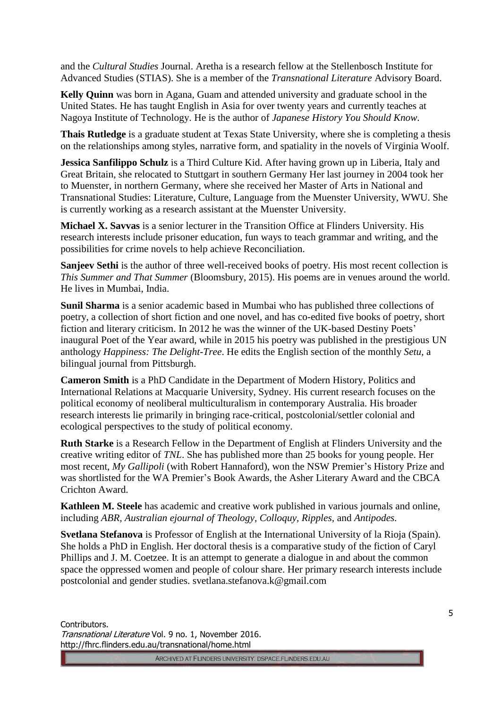and the *Cultural Studies* Journal. Aretha is a research fellow at the Stellenbosch Institute for Advanced Studies (STIAS). She is a member of the *Transnational Literature* Advisory Board.

**Kelly Quinn** was born in Agana, Guam and attended university and graduate school in the United States. He has taught English in Asia for over twenty years and currently teaches at Nagoya Institute of Technology. He is the author of *Japanese History You Should Know.*

**Thais Rutledge** is a graduate student at Texas State University, where she is completing a thesis on the relationships among styles, narrative form, and spatiality in the novels of Virginia Woolf.

**Jessica Sanfilippo Schulz** is a Third Culture Kid. After having grown up in Liberia, Italy and Great Britain, she relocated to Stuttgart in southern Germany Her last journey in 2004 took her to Muenster, in northern Germany, where she received her Master of Arts in National and Transnational Studies: Literature, Culture, Language from the Muenster University, WWU. She is currently working as a research assistant at the Muenster University.

**Michael X. Savvas** is a senior lecturer in the Transition Office at Flinders University. His research interests include prisoner education, fun ways to teach grammar and writing, and the possibilities for crime novels to help achieve Reconciliation.

**Sanjeev Sethi** is the author of three well-received books of poetry. His most recent collection is *This Summer and That Summer* (Bloomsbury, 2015). His poems are in venues around the world. He lives in Mumbai, India.

**Sunil Sharma** is a senior academic based in Mumbai who has published three collections of poetry, a collection of short fiction and one novel, and has co-edited five books of poetry, short fiction and literary criticism. In 2012 he was the winner of the UK-based Destiny Poets' inaugural Poet of the Year award, while in 2015 his poetry was published in the prestigious UN anthology *Happiness: The Delight-Tree*. He edits the English section of the monthly *Setu*, a bilingual journal from Pittsburgh.

**Cameron Smith** is a PhD Candidate in the Department of Modern History, Politics and International Relations at Macquarie University, Sydney. His current research focuses on the political economy of neoliberal multiculturalism in contemporary Australia. His broader research interests lie primarily in bringing race-critical, postcolonial/settler colonial and ecological perspectives to the study of political economy.

**Ruth Starke** is a Research Fellow in the Department of English at Flinders University and the creative writing editor of *TNL*. She has published more than 25 books for young people. Her most recent, *My Gallipoli* (with Robert Hannaford), won the NSW Premier's History Prize and was shortlisted for the WA Premier's Book Awards, the Asher Literary Award and the CBCA Crichton Award.

**Kathleen M. Steele** has academic and creative work published in various journals and online, including *ABR, Australian ejournal of Theology, Colloquy, Ripples,* and *Antipodes.*

**Svetlana Stefanova** is Professor of English at the International University of la Rioja (Spain). She holds a PhD in English. Her doctoral thesis is a comparative study of the fiction of Caryl Phillips and J. M. Coetzee. It is an attempt to generate a dialogue in and about the common space the oppressed women and people of colour share. Her primary research interests include postcolonial and gender studies. svetlana.stefanova.k@gmail.com